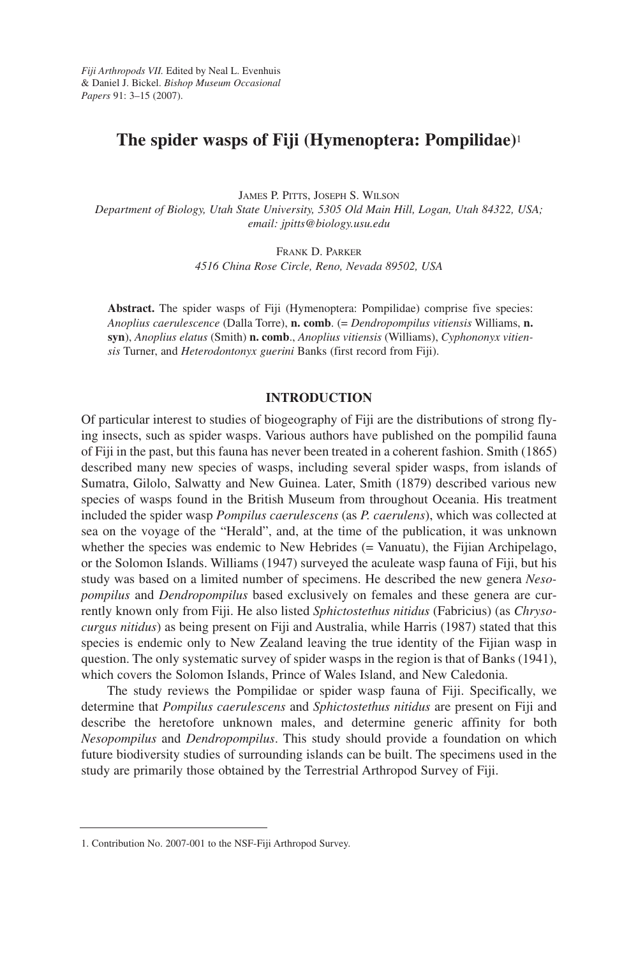# **The spider wasps of Fiji (Hymenoptera: Pompilidae)**<sup>1</sup>

JAMES P. PITTS, JOSEPH S. WILSON *Department of Biology, Utah State University, 5305 Old Main Hill, Logan, Utah 84322, USA; email: jpitts@biology.usu.edu*

> FRANK D. PARKER *4516 China Rose Circle, Reno, Nevada 89502, USA*

**Abstract.** The spider wasps of Fiji (Hymenoptera: Pompilidae) comprise five species: *Anoplius caerulescence* (Dalla Torre), **n. comb**. (= *Dendropompilus vitiensis* Williams, **n. syn**), *Anoplius elatus* (Smith) **n. comb**., *Anoplius vitiensis* (Williams), *Cyphononyx vitiensis* Turner, and *Heterodontonyx guerini* Banks (first record from Fiji).

# **INTRODUCTION**

Of particular interest to studies of biogeography of Fiji are the distributions of strong flying insects, such as spider wasps. Various authors have published on the pompilid fauna of Fiji in the past, but this fauna has never been treated in a coherent fashion. Smith (1865) described many new species of wasps, including several spider wasps, from islands of Sumatra, Gilolo, Salwatty and New Guinea. Later, Smith (1879) described various new species of wasps found in the British Museum from throughout Oceania. His treatment included the spider wasp *Pompilus caerulescens* (as *P. caerulens*), which was collected at sea on the voyage of the "Herald", and, at the time of the publication, it was unknown whether the species was endemic to New Hebrides (= Vanuatu), the Fijian Archipelago, or the Solomon Islands. Williams (1947) surveyed the aculeate wasp fauna of Fiji, but his study was based on a limited number of specimens. He described the new genera *Nesopompilus* and *Dendropompilus* based exclusively on females and these genera are currently known only from Fiji. He also listed *Sphictostethus nitidus* (Fabricius) (as *Chrysocurgus nitidus*) as being present on Fiji and Australia, while Harris (1987) stated that this species is endemic only to New Zealand leaving the true identity of the Fijian wasp in question. The only systematic survey of spider wasps in the region is that of Banks (1941), which covers the Solomon Islands, Prince of Wales Island, and New Caledonia.

The study reviews the Pompilidae or spider wasp fauna of Fiji. Specifically, we determine that *Pompilus caerulescens* and *Sphictostethus nitidus* are present on Fiji and describe the heretofore unknown males, and determine generic affinity for both *Nesopompilus* and *Dendropompilus*. This study should provide a foundation on which future biodiversity studies of surrounding islands can be built. The specimens used in the study are primarily those obtained by the Terrestrial Arthropod Survey of Fiji.

<sup>1.</sup> Contribution No. 2007-001 to the NSF-Fiji Arthropod Survey.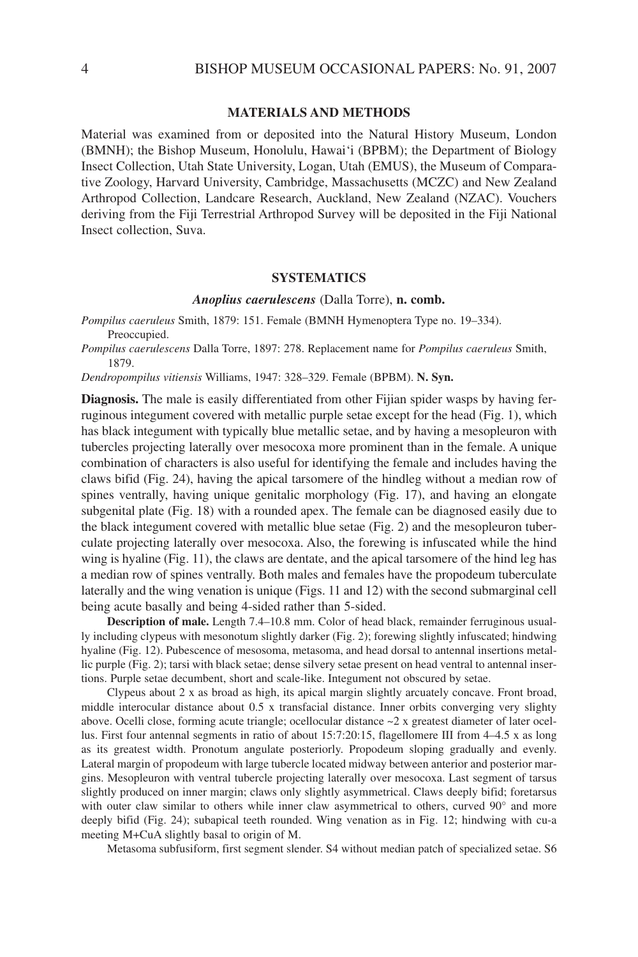#### **MATERIALS AND METHODS**

Material was examined from or deposited into the Natural History Museum, London (BMNH); the Bishop Museum, Honolulu, Hawai'i (BPBM); the Department of Biology Insect Collection, Utah State University, Logan, Utah (EMUS), the Museum of Comparative Zoology, Harvard University, Cambridge, Massachusetts (MCZC) and New Zealand Arthropod Collection, Landcare Research, Auckland, New Zealand (NZAC). Vouchers deriving from the Fiji Terrestrial Arthropod Survey will be deposited in the Fiji National Insect collection, Suva.

# **SYSTEMATICS**

#### *Anoplius caerulescens* (Dalla Torre), **n. comb.**

*Pompilus caeruleus* Smith, 1879: 151. Female (BMNH Hymenoptera Type no. 19–334). Preoccupied.

*Pompilus caerulescens* Dalla Torre, 1897: 278. Replacement name for *Pompilus caeruleus* Smith, 1879.

*Dendropompilus vitiensis* Williams, 1947: 328–329. Female (BPBM). **N. Syn.** 

**Diagnosis.** The male is easily differentiated from other Fijian spider wasps by having ferruginous integument covered with metallic purple setae except for the head (Fig. 1), which has black integument with typically blue metallic setae, and by having a mesopleuron with tubercles projecting laterally over mesocoxa more prominent than in the female. A unique combination of characters is also useful for identifying the female and includes having the claws bifid (Fig. 24), having the apical tarsomere of the hindleg without a median row of spines ventrally, having unique genitalic morphology (Fig. 17), and having an elongate subgenital plate (Fig. 18) with a rounded apex. The female can be diagnosed easily due to the black integument covered with metallic blue setae (Fig. 2) and the mesopleuron tuberculate projecting laterally over mesocoxa. Also, the forewing is infuscated while the hind wing is hyaline (Fig. 11), the claws are dentate, and the apical tarsomere of the hind leg has a median row of spines ventrally. Both males and females have the propodeum tuberculate laterally and the wing venation is unique (Figs. 11 and 12) with the second submarginal cell being acute basally and being 4-sided rather than 5-sided.

**Description of male.** Length 7.4–10.8 mm. Color of head black, remainder ferruginous usually including clypeus with mesonotum slightly darker (Fig. 2); forewing slightly infuscated; hindwing hyaline (Fig. 12). Pubescence of mesosoma, metasoma, and head dorsal to antennal insertions metallic purple (Fig. 2); tarsi with black setae; dense silvery setae present on head ventral to antennal insertions. Purple setae decumbent, short and scale-like. Integument not obscured by setae.

Clypeus about 2 x as broad as high, its apical margin slightly arcuately concave. Front broad, middle interocular distance about 0.5 x transfacial distance. Inner orbits converging very slighty above. Ocelli close, forming acute triangle; ocellocular distance ~2 x greatest diameter of later ocellus. First four antennal segments in ratio of about 15:7:20:15, flagellomere III from 4–4.5 x as long as its greatest width. Pronotum angulate posteriorly. Propodeum sloping gradually and evenly. Lateral margin of propodeum with large tubercle located midway between anterior and posterior margins. Mesopleuron with ventral tubercle projecting laterally over mesocoxa. Last segment of tarsus slightly produced on inner margin; claws only slightly asymmetrical. Claws deeply bifid; foretarsus with outer claw similar to others while inner claw asymmetrical to others, curved 90° and more deeply bifid (Fig. 24); subapical teeth rounded. Wing venation as in Fig. 12; hindwing with cu-a meeting M+CuA slightly basal to origin of M.

Metasoma subfusiform, first segment slender. S4 without median patch of specialized setae. S6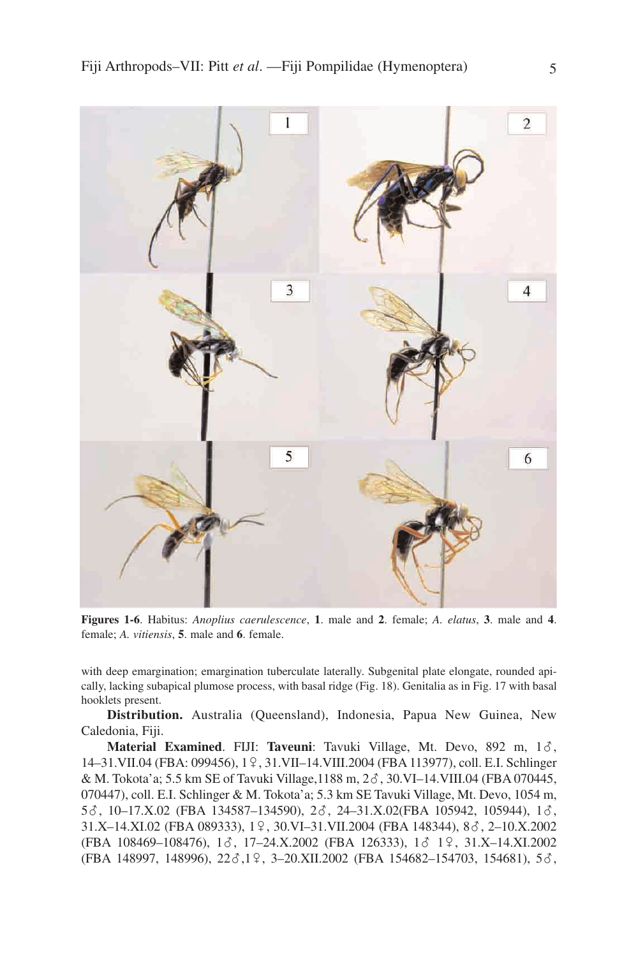

**Figures 1-6**. Habitus: *Anoplius caerulescence*, **1**. male and **2**. female; *A. elatus*, **3**. male and **4**. female; *A. vitiensis*, **5**. male and **6**. female.

with deep emargination; emargination tuberculate laterally. Subgenital plate elongate, rounded apically, lacking subapical plumose process, with basal ridge (Fig. 18). Genitalia as in Fig. 17 with basal hooklets present.

**Distribution.** Australia (Queensland), Indonesia, Papua New Guinea, New Caledonia, Fiji.

**Material Examined**. FIJI: Taveuni: Tavuki Village, Mt. Devo, 892 m, 16, 14–31.VII.04 (FBA: 099456), 19, 31.VII–14.VIII.2004 (FBA 113977), coll. E.I. Schlinger & M. Tokota'a; 5.5 km SE of Tavuki Village, 1188 m, 2 $\delta$ , 30.VI-14.VIII.04 (FBA 070445, 070447), coll. E.I. Schlinger & M. Tokota'a; 5.3 km SE Tavuki Village, Mt. Devo, 1054 m, 5 $\delta$ , 10-17.X.02 (FBA 134587-134590), 2 $\delta$ , 24-31.X.02(FBA 105942, 105944), 1 $\delta$ , 31.X-14.XI.02 (FBA 089333), 19, 30.VI-31.VII.2004 (FBA 148344), 88, 2-10.X.2002 (FBA 108469-108476), 13, 17-24.X.2002 (FBA 126333), 13 19, 31.X-14.XI.2002 (FBA 148997, 148996), 22 $\delta$ ,1 $\Omega$ , 3-20.XII.2002 (FBA 154682-154703, 154681), 5 $\delta$ ,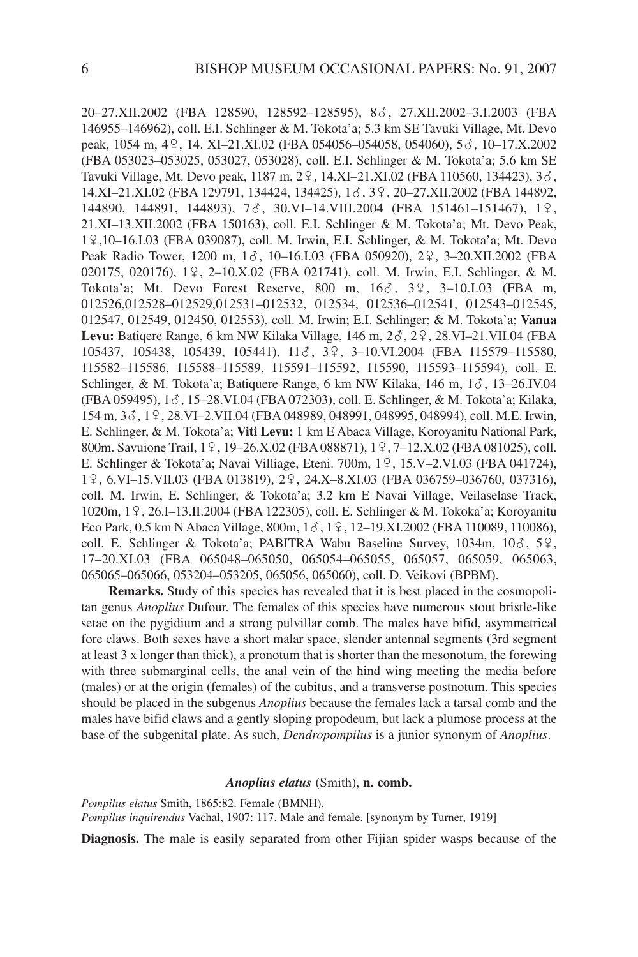20–27.XII.2002 (FBA 128590, 128592–128595), 8?, 27.XII.2002–3.I.2003 (FBA 146955–146962), coll. E.I. Schlinger & M. Tokota'a; 5.3 km SE Tavuki Village, Mt. Devo peak, 1054 m, 49, 14. XI–21.XI.02 (FBA 054056–054058, 054060), 5 $\delta$ , 10–17.X.2002 (FBA 053023–053025, 053027, 053028), coll. E.I. Schlinger & M. Tokota'a; 5.6 km SE Tavuki Village, Mt. Devo peak, 1187 m, 2 $9$ , 14.XI–21.XI.02 (FBA 110560, 134423), 3 $\delta$ , 14.XI-21.XI.02 (FBA 129791, 134424, 134425), 18, 39, 20-27.XII.2002 (FBA 144892, 144890, 144891, 144893), 73, 30. VI – 14. VIII. 2004 (FBA 151461 – 151467), 19, 21.XI–13.XII.2002 (FBA 150163), coll. E.I. Schlinger & M. Tokota'a; Mt. Devo Peak, 19,10–16.I.03 (FBA 039087), coll. M. Irwin, E.I. Schlinger, & M. Tokota'a; Mt. Devo Peak Radio Tower, 1200 m, 1 $\delta$ , 10-16.I.03 (FBA 050920), 2 $\Omega$ , 3-20.XII.2002 (FBA 020175, 020176), 19, 2-10.X.02 (FBA 021741), coll. M. Irwin, E.I. Schlinger, & M. Tokota'a; Mt. Devo Forest Reserve, 800 m,  $16\delta$ ,  $3\frac{9}{7}$ ,  $3-10.1.03$  (FBA m, 012526,012528–012529,012531–012532, 012534, 012536–012541, 012543–012545, 012547, 012549, 012450, 012553), coll. M. Irwin; E.I. Schlinger; & M. Tokota'a; **Vanua** Levu: Batiqere Range, 6 km NW Kilaka Village, 146 m, 2 $\delta$ , 2 $\frac{9}{3}$ , 28.VI–21.VII.04 (FBA 105437, 105438, 105439, 105441), 11 8, 3 9, 3-10. VI. 2004 (FBA 115579-115580, 115582–115586, 115588–115589, 115591–115592, 115590, 115593–115594), coll. E. Schlinger, & M. Tokota'a; Batiquere Range, 6 km NW Kilaka, 146 m,  $1\delta$ , 13–26.IV.04 (FBA 059495), 1?, 15–28.VI.04 (FBA 072303), coll. E. Schlinger, & M. Tokota'a; Kilaka, 154 m, 3  $\circ$ , 1  $\circ$ , 28.VI–2.VII.04 (FBA 048989, 048991, 048995, 048994), coll. M.E. Irwin, E. Schlinger, & M. Tokota'a; **Viti Levu:** 1 km E Abaca Village, Koroyanitu National Park, 800m. Savuione Trail, 19, 19–26.X.02 (FBA 088871), 19, 7–12.X.02 (FBA 081025), coll. E. Schlinger & Tokota'a; Navai Villiage, Eteni. 700m,  $1\frac{9}{1}$ , 15.V–2.VI.03 (FBA 041724), 19, 6.VI–15.VII.03 (FBA 013819), 29, 24.X–8.XI.03 (FBA 036759–036760, 037316), coll. M. Irwin, E. Schlinger, & Tokota'a; 3.2 km E Navai Village, Veilaselase Track, 1020m, 19, 26.I–13.II.2004 (FBA 122305), coll. E. Schlinger & M. Tokoka'a; Koroyanitu Eco Park, 0.5 km N Abaca Village, 800m, 1 c , 1 º , 12-19.XI.2002 (FBA 110089, 110086), coll. E. Schlinger & Tokota'a; PABITRA Wabu Baseline Survey,  $1034m$ ,  $10\delta$ ,  $5\delta$ , 17–20.XI.03 (FBA 065048–065050, 065054–065055, 065057, 065059, 065063, 065065–065066, 053204–053205, 065056, 065060), coll. D. Veikovi (BPBM).

**Remarks.** Study of this species has revealed that it is best placed in the cosmopolitan genus *Anoplius* Dufour. The females of this species have numerous stout bristle-like setae on the pygidium and a strong pulvillar comb. The males have bifid, asymmetrical fore claws. Both sexes have a short malar space, slender antennal segments (3rd segment at least 3 x longer than thick), a pronotum that is shorter than the mesonotum, the forewing with three submarginal cells, the anal vein of the hind wing meeting the media before (males) or at the origin (females) of the cubitus, and a transverse postnotum. This species should be placed in the subgenus *Anoplius* because the females lack a tarsal comb and the males have bifid claws and a gently sloping propodeum, but lack a plumose process at the base of the subgenital plate. As such, *Dendropompilus* is a junior synonym of *Anoplius*.

# *Anoplius elatus* (Smith), **n. comb.**

*Pompilus elatus* Smith, 1865:82. Female (BMNH).

*Pompilus inquirendus* Vachal, 1907: 117. Male and female. [synonym by Turner, 1919]

**Diagnosis.** The male is easily separated from other Fijian spider wasps because of the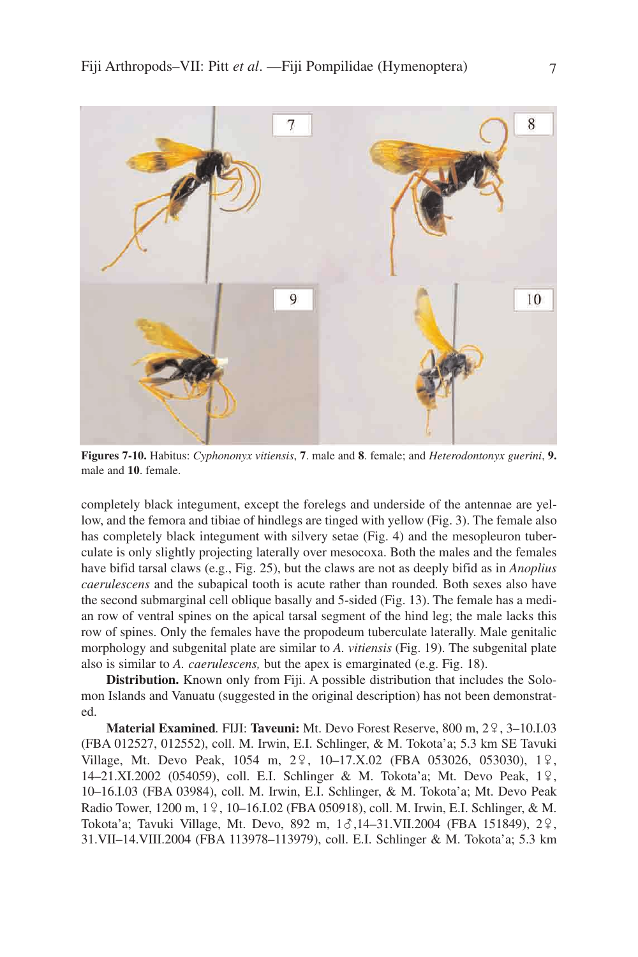

**Figures 7-10.** Habitus: *Cyphononyx vitiensis*, **7**. male and **8**. female; and *Heterodontonyx guerini*, **9.** male and **10**. female.

completely black integument, except the forelegs and underside of the antennae are yellow, and the femora and tibiae of hindlegs are tinged with yellow (Fig. 3). The female also has completely black integument with silvery setae (Fig. 4) and the mesopleuron tuberculate is only slightly projecting laterally over mesocoxa. Both the males and the females have bifid tarsal claws (e.g., Fig. 25), but the claws are not as deeply bifid as in *Anoplius caerulescens* and the subapical tooth is acute rather than rounded*.* Both sexes also have the second submarginal cell oblique basally and 5-sided (Fig. 13). The female has a median row of ventral spines on the apical tarsal segment of the hind leg; the male lacks this row of spines. Only the females have the propodeum tuberculate laterally. Male genitalic morphology and subgenital plate are similar to *A. vitiensis* (Fig. 19). The subgenital plate also is similar to *A. caerulescens,* but the apex is emarginated (e.g. Fig. 18).

**Distribution.** Known only from Fiji. A possible distribution that includes the Solomon Islands and Vanuatu (suggested in the original description) has not been demonstrated.

**Material Examined.** FIJI: Taveuni: Mt. Devo Forest Reserve, 800 m, 29, 3–10.I.03 (FBA 012527, 012552), coll. M. Irwin, E.I. Schlinger, & M. Tokota'a; 5.3 km SE Tavuki Village, Mt. Devo Peak,  $1054$  m,  $2\frac{9}{7}$ ,  $10-17$ .X.02 (FBA 053026, 053030),  $1\frac{9}{7}$ , 14–21.XI.2002 (054059), coll. E.I. Schlinger & M. Tokota'a; Mt. Devo Peak, 19, 10–16.I.03 (FBA 03984), coll. M. Irwin, E.I. Schlinger, & M. Tokota'a; Mt. Devo Peak Radio Tower, 1200 m, 19, 10–16.I.02 (FBA 050918), coll. M. Irwin, E.I. Schlinger, & M. Tokota'a; Tavuki Village, Mt. Devo, 892 m,  $1\delta$ ,14–31.VII.2004 (FBA 151849), 2 $\varphi$ , 31.VII–14.VIII.2004 (FBA 113978–113979), coll. E.I. Schlinger & M. Tokota'a; 5.3 km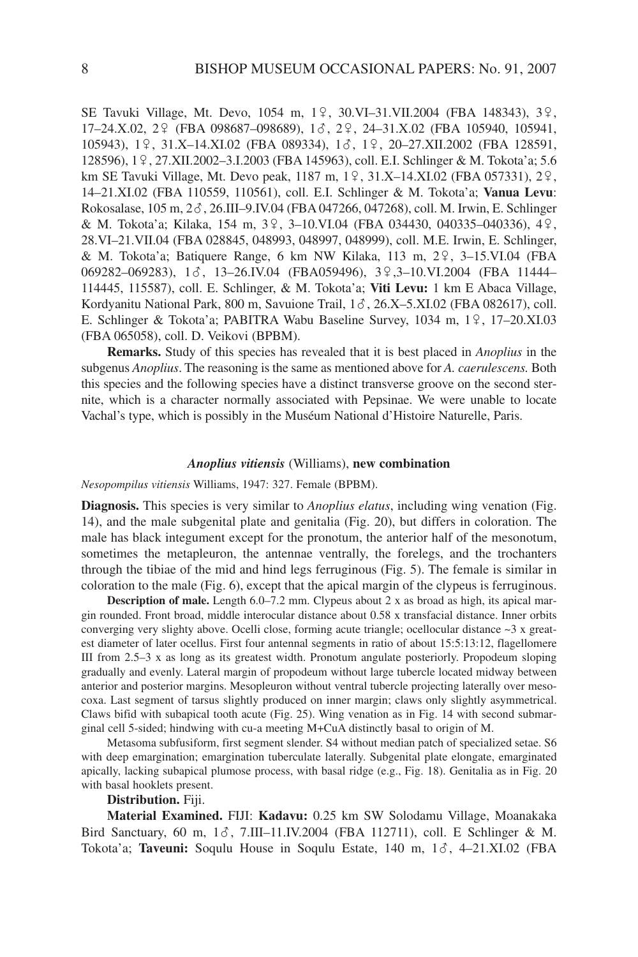SE Tavuki Village, Mt. Devo, 1054 m, 19, 30.VI-31.VII.2004 (FBA 148343), 39, 17–24.X.02, 29 (FBA 098687–098689), 13, 29, 24–31.X.02 (FBA 105940, 105941, 105943), 19, 31.X-14.XI.02 (FBA 089334), 16, 19, 20-27.XII.2002 (FBA 128591, 128596), 19, 27.XII.2002-3.I.2003 (FBA 145963), coll. E.I. Schlinger & M. Tokota'a; 5.6 km SE Tavuki Village, Mt. Devo peak, 1187 m, 19, 31.X–14.XI.02 (FBA 057331), 29, 14–21.XI.02 (FBA 110559, 110561), coll. E.I. Schlinger & M. Tokota'a; **Vanua Levu**: Rokosalase, 105 m, 2?, 26.III–9.IV.04 (FBA 047266, 047268), coll. M. Irwin, E. Schlinger & M. Tokota'a; Kilaka, 154 m,  $3\frac{9}{7}$ , 3–10.VI.04 (FBA 034430, 040335–040336), 4 $\frac{9}{7}$ , 28.VI–21.VII.04 (FBA 028845, 048993, 048997, 048999), coll. M.E. Irwin, E. Schlinger, & M. Tokota'a; Batiquere Range, 6 km NW Kilaka, 113 m,  $2\frac{9}{7}$ , 3-15.VI.04 (FBA 069282–069283), 13, 13–26.IV.04 (FBA059496), 39,3–10.VI.2004 (FBA 11444– 114445, 115587), coll. E. Schlinger, & M. Tokota'a; **Viti Levu:** 1 km E Abaca Village, Kordyanitu National Park, 800 m, Savuione Trail,  $1\delta$ , 26.X–5.XI.02 (FBA 082617), coll. E. Schlinger & Tokota'a; PABITRA Wabu Baseline Survey,  $1034$  m,  $1\frac{9}{17}$ ,  $17-20$ .XI.03 (FBA 065058), coll. D. Veikovi (BPBM).

**Remarks.** Study of this species has revealed that it is best placed in *Anoplius* in the subgenus *Anoplius*. The reasoning is the same as mentioned above for *A. caerulescens.* Both this species and the following species have a distinct transverse groove on the second sternite, which is a character normally associated with Pepsinae. We were unable to locate Vachal's type, which is possibly in the Muséum National d'Histoire Naturelle, Paris.

#### *Anoplius vitiensis* (Williams), **new combination**

*Nesopompilus vitiensis* Williams, 1947: 327. Female (BPBM).

**Diagnosis.** This species is very similar to *Anoplius elatus*, including wing venation (Fig. 14), and the male subgenital plate and genitalia (Fig. 20), but differs in coloration. The male has black integument except for the pronotum, the anterior half of the mesonotum, sometimes the metapleuron, the antennae ventrally, the forelegs, and the trochanters through the tibiae of the mid and hind legs ferruginous (Fig. 5). The female is similar in coloration to the male (Fig. 6), except that the apical margin of the clypeus is ferruginous.

**Description of male.** Length  $6.0-7.2$  mm. Clypeus about  $2 \times$  as broad as high, its apical margin rounded. Front broad, middle interocular distance about 0.58 x transfacial distance. Inner orbits converging very slighty above. Ocelli close, forming acute triangle; ocellocular distance ~3 x greatest diameter of later ocellus. First four antennal segments in ratio of about 15:5:13:12, flagellomere III from 2.5–3 x as long as its greatest width. Pronotum angulate posteriorly. Propodeum sloping gradually and evenly. Lateral margin of propodeum without large tubercle located midway between anterior and posterior margins. Mesopleuron without ventral tubercle projecting laterally over mesocoxa. Last segment of tarsus slightly produced on inner margin; claws only slightly asymmetrical. Claws bifid with subapical tooth acute (Fig. 25). Wing venation as in Fig. 14 with second submarginal cell 5-sided; hindwing with cu-a meeting M+CuA distinctly basal to origin of M.

Metasoma subfusiform, first segment slender. S4 without median patch of specialized setae. S6 with deep emargination; emargination tuberculate laterally. Subgenital plate elongate, emarginated apically, lacking subapical plumose process, with basal ridge (e.g., Fig. 18). Genitalia as in Fig. 20 with basal hooklets present.

# **Distribution.** Fiji.

**Material Examined.** FIJI: **Kadavu:** 0.25 km SW Solodamu Village, Moanakaka Bird Sanctuary, 60 m,  $1\delta$ , 7.III–11.IV.2004 (FBA 112711), coll. E Schlinger & M. Tokota'a; Taveuni: Soqulu House in Soqulu Estate, 140 m, 16, 4–21.XI.02 (FBA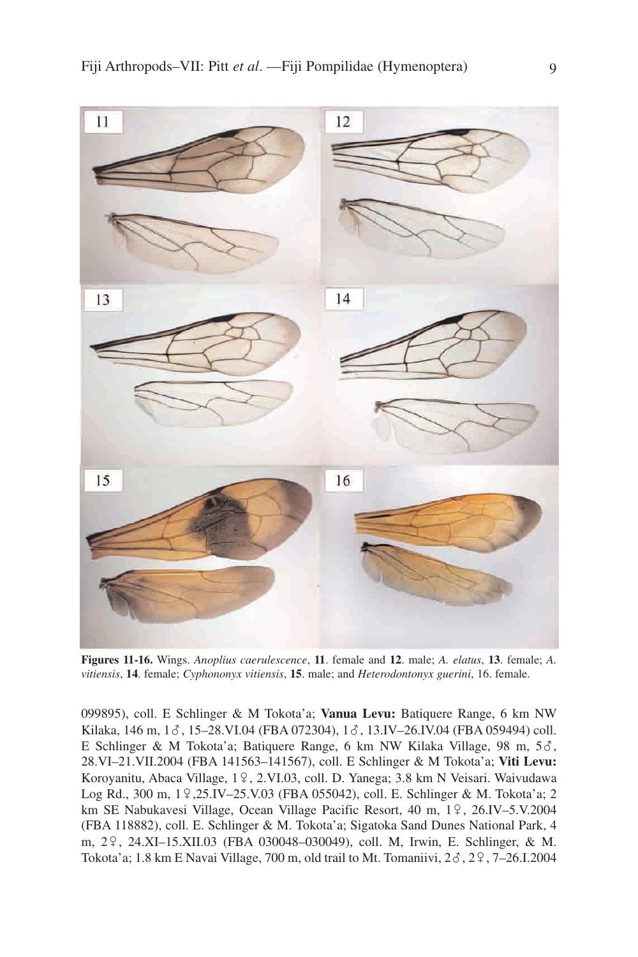

**Figures 11-16.** Wings. *Anoplius caerulescence*, **11**. female and **12**. male; *A. elatus*, **13**. female; *A. vitiensis*, **14**. female; *Cyphononyx vitiensis*, **15**. male; and *Heterodontonyx guerini*, 16. female.

099895), coll. E Schlinger & M Tokota'a; **Vanua Levu:** Batiquere Range, 6 km NW Kilaka, 146 m,  $1\delta$ , 15–28.VI.04 (FBA 072304),  $1\delta$ , 13.IV–26.IV.04 (FBA 059494) coll. E Schlinger & M Tokota'a; Batiquere Range, 6 km NW Kilaka Village, 98 m, 5 $\delta$ , 28.VI–21.VII.2004 (FBA 141563–141567), coll. E Schlinger & M Tokota'a; **Viti Levu:** Koroyanitu, Abaca Village, 19, 2.VI.03, coll. D. Yanega; 3.8 km N Veisari. Waivudawa Log Rd., 300 m, 19,25.IV–25.V.03 (FBA 055042), coll. E. Schlinger & M. Tokota'a; 2 km SE Nabukavesi Village, Ocean Village Pacific Resort, 40 m, 19, 26.IV-5.V.2004 (FBA 118882), coll. E. Schlinger & M. Tokota'a; Sigatoka Sand Dunes National Park, 4 m, 29, 24.XI–15.XII.03 (FBA 030048–030049), coll. M, Irwin, E. Schlinger, & M. Tokota'a; 1.8 km E Navai Village, 700 m, old trail to Mt. Tomaniivi,  $2\delta$ ,  $2\gamma$ ,  $7-26$ .I.2004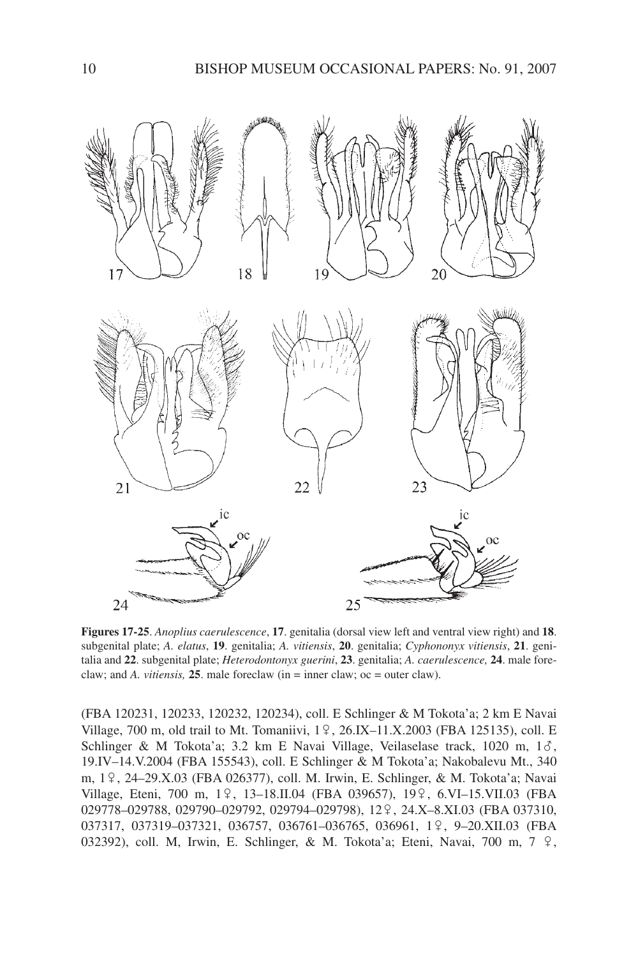

**Figures 17-25**. *Anoplius caerulescence*, **17**. genitalia (dorsal view left and ventral view right) and **18**. subgenital plate; *A. elatus*, **19**. genitalia; *A. vitiensis*, **20**. genitalia; *Cyphononyx vitiensis*, **21**. genitalia and **22**. subgenital plate; *Heterodontonyx guerini*, **23**. genitalia; *A. caerulescence,* **24**. male foreclaw; and *A. vitiensis,* **25**. male foreclaw (in = inner claw; oc = outer claw).

(FBA 120231, 120233, 120232, 120234), coll. E Schlinger & M Tokota'a; 2 km E Navai Village, 700 m, old trail to Mt. Tomaniivi,  $1\frac{9}{5}$ , 26.IX–11.X.2003 (FBA 125135), coll. E Schlinger & M Tokota'a; 3.2 km E Navai Village, Veilaselase track, 1020 m,  $1\delta$ , 19.IV–14.V.2004 (FBA 155543), coll. E Schlinger & M Tokota'a; Nakobalevu Mt., 340 m, 19, 24–29.X.03 (FBA 026377), coll. M. Irwin, E. Schlinger, & M. Tokota'a; Navai Village, Eteni, 700 m, 1º, 13-18.II.04 (FBA 039657), 19º, 6.VI-15.VII.03 (FBA 029778-029788, 029790-029792, 029794-029798), 12 <sup>9</sup>, 24.X-8.XI.03 (FBA 037310, 037317, 037319-037321, 036757, 036761-036765, 036961, 19, 9-20.XII.03 (FBA 032392), coll. M, Irwin, E. Schlinger, & M. Tokota'a; Eteni, Navai, 700 m, 7 º,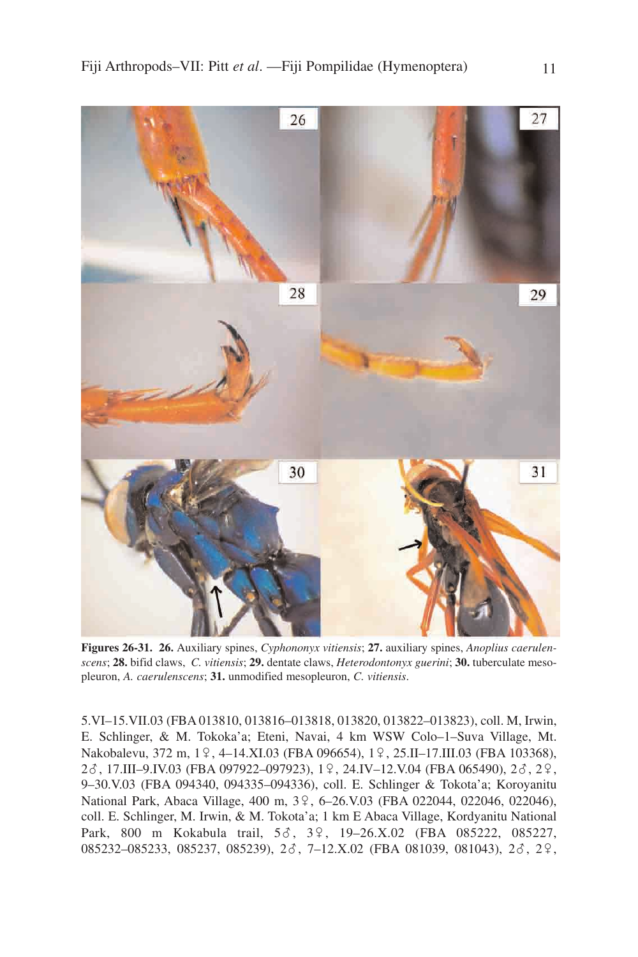

**Figures 26-31. 26.** Auxiliary spines, *Cyphononyx vitiensis*; **27.** auxiliary spines, *Anoplius caerulenscens*; **28.** bifid claws, *C. vitiensis*; **29.** dentate claws, *Heterodontonyx guerini*; **30.** tuberculate mesopleuron, *A. caerulenscens*; **31.** unmodified mesopleuron, *C. vitiensis*.

5.VI–15.VII.03 (FBA 013810, 013816–013818, 013820, 013822–013823), coll. M, Irwin, E. Schlinger, & M. Tokoka'a; Eteni, Navai, 4 km WSW Colo–1–Suva Village, Mt. Nakobalevu, 372 m, 1º, 4–14.XI.03 (FBA 096654), 1º, 25.II–17.III.03 (FBA 103368), 2 $\delta$ , 17.III–9.IV.03 (FBA 097922–097923), 1º, 24.IV–12.V.04 (FBA 065490), 2 $\delta$ , 2º, 9–30.V.03 (FBA 094340, 094335–094336), coll. E. Schlinger & Tokota'a; Koroyanitu National Park, Abaca Village, 400 m, 39, 6-26.V.03 (FBA 022044, 022046, 022046), coll. E. Schlinger, M. Irwin, & M. Tokota'a; 1 km E Abaca Village, Kordyanitu National Park, 800 m Kokabula trail, 56, 39, 19-26.X.02 (FBA 085222, 085227, 085232–085233, 085237, 085239), 28, 7–12.X.02 (FBA 081039, 081043), 28, 29,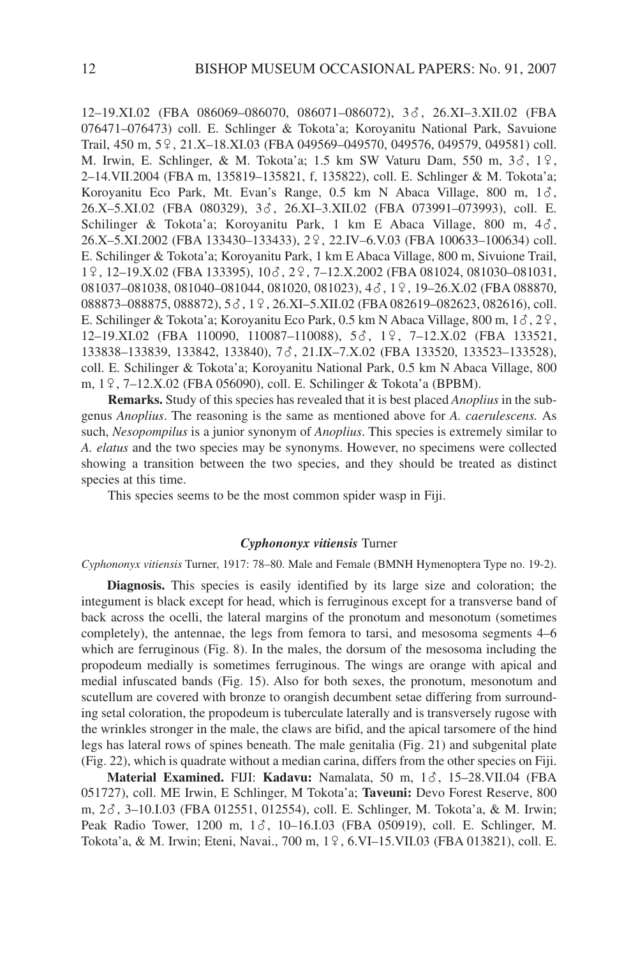12–19.XI.02 (FBA 086069–086070, 086071–086072), 3?, 26.XI–3.XII.02 (FBA 076471–076473) coll. E. Schlinger & Tokota'a; Koroyanitu National Park, Savuione Trail, 450 m, 5<sup>o</sup>, 21.X–18.XI.03 (FBA 049569–049570, 049576, 049579, 049581) coll. M. Irwin, E. Schlinger, & M. Tokota'a; 1.5 km SW Vaturu Dam, 550 m, 36, 19, 2–14.VII.2004 (FBA m, 135819–135821, f, 135822), coll. E. Schlinger & M. Tokota'a; Koroyanitu Eco Park, Mt. Evan's Range, 0.5 km N Abaca Village, 800 m, 16, 26.X-5.XI.02 (FBA 080329), 38, 26.XI-3.XII.02 (FBA 073991-073993), coll. E. Schilinger & Tokota'a; Koroyanitu Park, 1 km E Abaca Village, 800 m,  $4\delta$ , 26.X-5.XI.2002 (FBA 133430-133433), 29, 22.IV-6.V.03 (FBA 100633-100634) coll. E. Schilinger & Tokota'a; Koroyanitu Park, 1 km E Abaca Village, 800 m, Sivuione Trail, 19, 12-19.X.02 (FBA 133395), 10 $\delta$ , 2 $\delta$ , 7-12.X.2002 (FBA 081024, 081030-081031, 081037-081038, 081040-081044, 081020, 081023), 4d, 19, 19-26.X.02 (FBA 088870, 088873–088875, 088872),  $5\delta$ ,  $1\frac{9}{5}$ ,  $26$ .XI– $5$ .XII.02 (FBA 082619–082623, 082616), coll. E. Schilinger & Tokota'a; Koroyanitu Eco Park, 0.5 km N Abaca Village, 800 m,  $1\delta$ ,  $2\delta$ , 12–19.XI.02 (FBA 110090, 110087–110088), 53, 19, 7–12.X.02 (FBA 133521, 133838–133839, 133842, 133840), 7 c, 21.IX–7.X.02 (FBA 133520, 133523–133528), coll. E. Schilinger & Tokota'a; Koroyanitu National Park, 0.5 km N Abaca Village, 800 m, 19, 7–12.X.02 (FBA 056090), coll. E. Schilinger & Tokota'a (BPBM).

**Remarks.** Study of this species has revealed that it is best placed *Anoplius* in the subgenus *Anoplius*. The reasoning is the same as mentioned above for *A. caerulescens.* As such, *Nesopompilus* is a junior synonym of *Anoplius*. This species is extremely similar to *A. elatus* and the two species may be synonyms. However, no specimens were collected showing a transition between the two species, and they should be treated as distinct species at this time.

This species seems to be the most common spider wasp in Fiji.

# *Cyphononyx vitiensis* Turner

*Cyphononyx vitiensis* Turner, 1917: 78–80. Male and Female (BMNH Hymenoptera Type no. 19-2).

**Diagnosis.** This species is easily identified by its large size and coloration; the integument is black except for head, which is ferruginous except for a transverse band of back across the ocelli, the lateral margins of the pronotum and mesonotum (sometimes completely), the antennae, the legs from femora to tarsi, and mesosoma segments 4–6 which are ferruginous (Fig. 8). In the males, the dorsum of the mesosoma including the propodeum medially is sometimes ferruginous. The wings are orange with apical and medial infuscated bands (Fig. 15). Also for both sexes, the pronotum, mesonotum and scutellum are covered with bronze to orangish decumbent setae differing from surrounding setal coloration, the propodeum is tuberculate laterally and is transversely rugose with the wrinkles stronger in the male, the claws are bifid, and the apical tarsomere of the hind legs has lateral rows of spines beneath. The male genitalia (Fig. 21) and subgenital plate (Fig. 22), which is quadrate without a median carina, differs from the other species on Fiji.

**Material Examined. FIJI: Kadavu: Namalata, 50 m, 16, 15-28.VII.04 (FBA)** 051727), coll. ME Irwin, E Schlinger, M Tokota'a; **Taveuni:** Devo Forest Reserve, 800 m, 2?, 3–10.I.03 (FBA 012551, 012554), coll. E. Schlinger, M. Tokota'a, & M. Irwin; Peak Radio Tower, 1200 m, 16, 10–16.I.03 (FBA 050919), coll. E. Schlinger, M. Tokota'a, & M. Irwin; Eteni, Navai., 700 m, 19, 6.VI-15.VII.03 (FBA 013821), coll. E.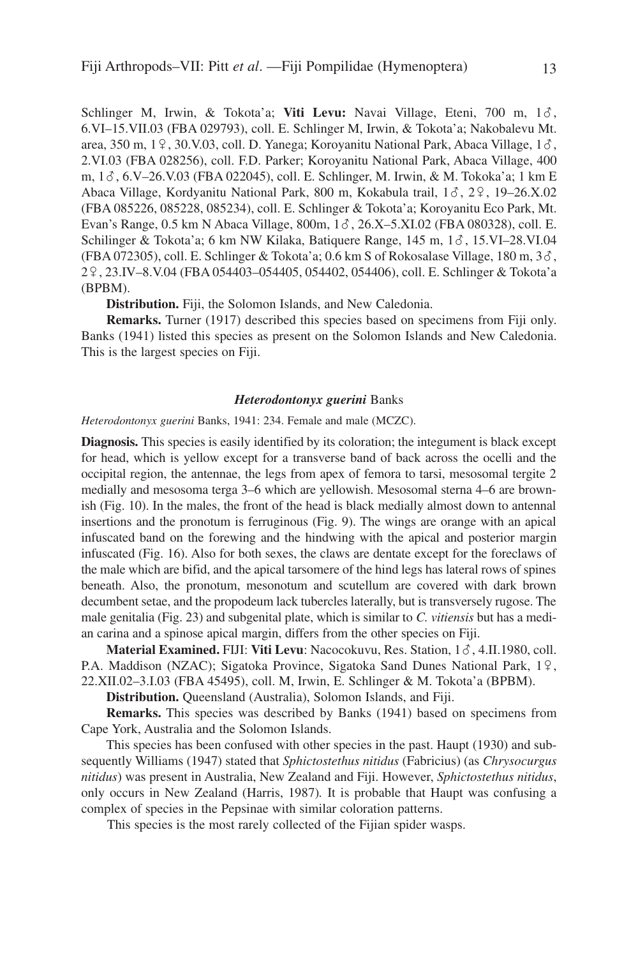Schlinger M, Irwin, & Tokota'a; Viti Levu: Navai Village, Eteni, 700 m, 16, 6.VI–15.VII.03 (FBA 029793), coll. E. Schlinger M, Irwin, & Tokota'a; Nakobalevu Mt. area, 350 m, 19, 30.V.03, coll. D. Yanega; Koroyanitu National Park, Abaca Village,  $1\delta$ , 2.VI.03 (FBA 028256), coll. F.D. Parker; Koroyanitu National Park, Abaca Village, 400 m,  $1\delta$ , 6.V–26.V.03 (FBA 022045), coll. E. Schlinger, M. Irwin, & M. Tokoka'a; 1 km E Abaca Village, Kordyanitu National Park, 800 m, Kokabula trail, 1 $\delta$ , 2 $\Omega$ , 19–26.X.02 (FBA 085226, 085228, 085234), coll. E. Schlinger & Tokota'a; Koroyanitu Eco Park, Mt. Evan's Range, 0.5 km N Abaca Village, 800m,  $1\delta$ , 26.X–5.XI.02 (FBA 080328), coll. E. Schilinger & Tokota'a; 6 km NW Kilaka, Batiquere Range,  $145 \text{ m}$ ,  $16$ ,  $15. \text{VI} - 28. \text{VI}$ .04 (FBA 072305), coll. E. Schlinger & Tokota'a; 0.6 km S of Rokosalase Village, 180 m,  $3\delta$ , 2/, 23.IV–8.V.04 (FBA 054403–054405, 054402, 054406), coll. E. Schlinger & Tokota'a (BPBM).

**Distribution.** Fiji, the Solomon Islands, and New Caledonia.

**Remarks.** Turner (1917) described this species based on specimens from Fiji only. Banks (1941) listed this species as present on the Solomon Islands and New Caledonia. This is the largest species on Fiji.

# *Heterodontonyx guerini* Banks

*Heterodontonyx guerini* Banks, 1941: 234. Female and male (MCZC).

**Diagnosis.** This species is easily identified by its coloration; the integument is black except for head, which is yellow except for a transverse band of back across the ocelli and the occipital region, the antennae, the legs from apex of femora to tarsi, mesosomal tergite 2 medially and mesosoma terga 3–6 which are yellowish. Mesosomal sterna 4–6 are brownish (Fig. 10). In the males, the front of the head is black medially almost down to antennal insertions and the pronotum is ferruginous (Fig. 9). The wings are orange with an apical infuscated band on the forewing and the hindwing with the apical and posterior margin infuscated (Fig. 16). Also for both sexes, the claws are dentate except for the foreclaws of the male which are bifid, and the apical tarsomere of the hind legs has lateral rows of spines beneath. Also, the pronotum, mesonotum and scutellum are covered with dark brown decumbent setae, and the propodeum lack tubercles laterally, but is transversely rugose. The male genitalia (Fig. 23) and subgenital plate, which is similar to *C. vitiensis* but has a median carina and a spinose apical margin, differs from the other species on Fiji.

**Material Examined.** FIJI: **Viti Levu**: Nacocokuvu, Res. Station, 1?, 4.II.1980, coll. P.A. Maddison (NZAC); Sigatoka Province, Sigatoka Sand Dunes National Park,  $1\frac{9}{1}$ , 22.XII.02–3.I.03 (FBA 45495), coll. M, Irwin, E. Schlinger & M. Tokota'a (BPBM).

**Distribution.** Queensland (Australia), Solomon Islands, and Fiji.

**Remarks.** This species was described by Banks (1941) based on specimens from Cape York, Australia and the Solomon Islands.

This species has been confused with other species in the past. Haupt (1930) and subsequently Williams (1947) stated that *Sphictostethus nitidus* (Fabricius) (as *Chrysocurgus nitidus*) was present in Australia, New Zealand and Fiji. However, *Sphictostethus nitidus*, only occurs in New Zealand (Harris, 1987)*.* It is probable that Haupt was confusing a complex of species in the Pepsinae with similar coloration patterns.

This species is the most rarely collected of the Fijian spider wasps.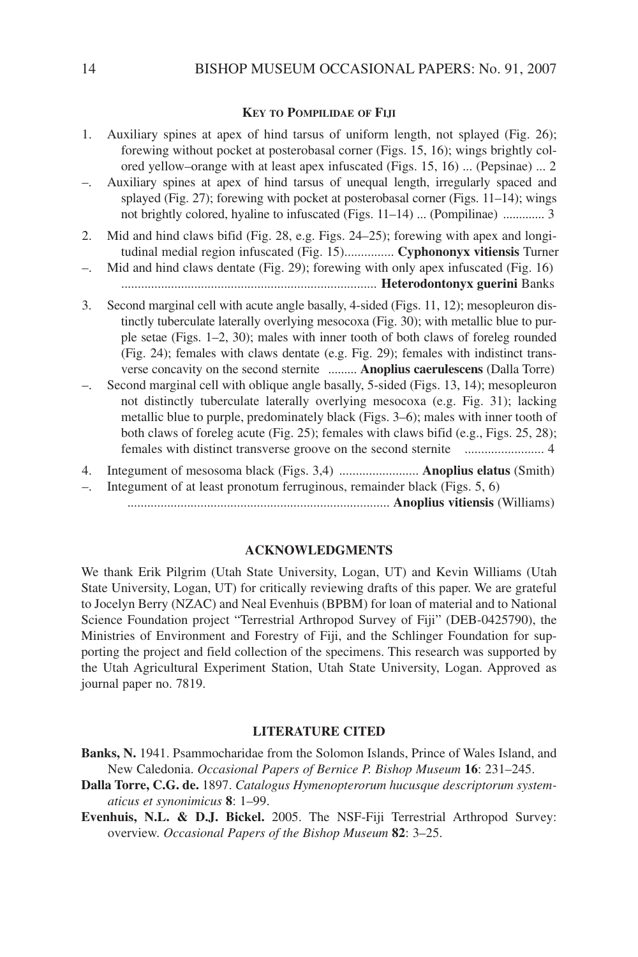### **KEY TO POMPILIDAE OF FIJI**

| Auxiliary spines at apex of hind tarsus of uniform length, not splayed (Fig. 26);<br>forewing without pocket at posterobasal corner (Figs. 15, 16); wings brightly col-<br>ored yellow-orange with at least apex infuscated (Figs. 15, 16)  (Pepsinae)  2                                                                                                                                                                                      |
|------------------------------------------------------------------------------------------------------------------------------------------------------------------------------------------------------------------------------------------------------------------------------------------------------------------------------------------------------------------------------------------------------------------------------------------------|
| Auxiliary spines at apex of hind tarsus of unequal length, irregularly spaced and<br>splayed (Fig. 27); forewing with pocket at posterobasal corner (Figs. 11–14); wings<br>not brightly colored, hyaline to infuscated (Figs. 11–14)  (Pompilinae)  3                                                                                                                                                                                         |
| Mid and hind claws bifid (Fig. 28, e.g. Figs. 24-25); forewing with apex and longi-<br>tudinal medial region infuscated (Fig. 15) Cyphononyx vitiensis Turner                                                                                                                                                                                                                                                                                  |
| Mid and hind claws dentate (Fig. 29); forewing with only apex infuscated (Fig. 16)                                                                                                                                                                                                                                                                                                                                                             |
| Second marginal cell with acute angle basally, 4-sided (Figs. 11, 12); mesopleuron dis-<br>tinctly tuberculate laterally overlying mesocoxa (Fig. 30); with metallic blue to pur-<br>ple setae (Figs. 1–2, 30); males with inner tooth of both claws of foreleg rounded<br>(Fig. 24); females with claws dentate (e.g. Fig. 29); females with indistinct trans-<br>verse concavity on the second sternite  Anoplius caerulescens (Dalla Torre) |
| Second marginal cell with oblique angle basally, 5-sided (Figs. 13, 14); mesopleuron<br>not distinctly tuberculate laterally overlying mesocoxa (e.g. Fig. 31); lacking<br>metallic blue to purple, predominately black (Figs. 3–6); males with inner tooth of<br>both claws of foreleg acute (Fig. 25); females with claws bifid (e.g., Figs. 25, 28);<br>females with distinct transverse groove on the second sternite  4                   |
| Integument of mesosoma black (Figs. 3,4)  Anoplius elatus (Smith)                                                                                                                                                                                                                                                                                                                                                                              |
| Integument of at least pronotum ferruginous, remainder black (Figs. 5, 6)                                                                                                                                                                                                                                                                                                                                                                      |
|                                                                                                                                                                                                                                                                                                                                                                                                                                                |

# **ACKNOWLEDGMENTS**

We thank Erik Pilgrim (Utah State University, Logan, UT) and Kevin Williams (Utah State University, Logan, UT) for critically reviewing drafts of this paper. We are grateful to Jocelyn Berry (NZAC) and Neal Evenhuis (BPBM) for loan of material and to National Science Foundation project "Terrestrial Arthropod Survey of Fiji" (DEB-0425790), the Ministries of Environment and Forestry of Fiji, and the Schlinger Foundation for supporting the project and field collection of the specimens. This research was supported by the Utah Agricultural Experiment Station, Utah State University, Logan. Approved as journal paper no. 7819.

#### **LITERATURE CITED**

**Banks, N.** 1941. Psammocharidae from the Solomon Islands, Prince of Wales Island, and New Caledonia. *Occasional Papers of Bernice P. Bishop Museum* **16**: 231–245.

**Dalla Torre, C.G. de.** 1897. *Catalogus Hymenopterorum hucusque descriptorum systematicus et synonimicus* **8**: 1–99.

**Evenhuis, N.L. & D.J. Bickel.** 2005. The NSF-Fiji Terrestrial Arthropod Survey: overview. *Occasional Papers of the Bishop Museum* **82**: 3–25.